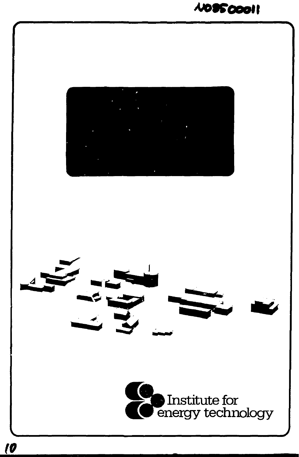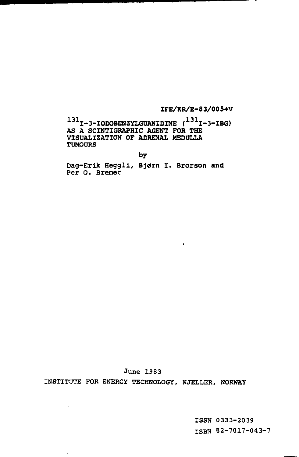**IFE/KR/E-83/005+V** 

**<sup>31</sup>I-3-IODOBENZYLGUANIDINE (131I-3-IBG) AS A SCINTIGRAPHIC AGENT FOR THE VISUALIZATION OF ADRENAL MEDULLA TUMOURS** 

**by** 

**Dag-Erik Heggli, Bjørn I. Brorson and**  Per **O. Bremer** 

 $\sim 10^{-1}$ 

June 1983

 $\mathcal{L}$ 

 $\cdot$ 

INSTITUTE FOR ENERGY TECHNOLOGY, KJELLER, NORWAY

ISSN 0333-2039 ISBN 82-7017-043-7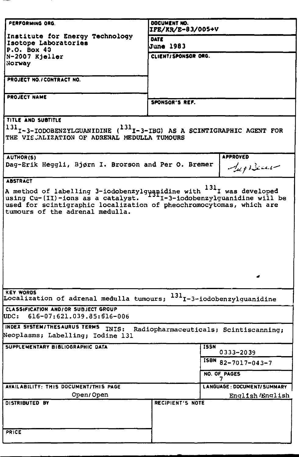| PERFORMING ORG.                                                                                                                   | DOCUMENT NO.<br>IFE/KR/E-83/005+V<br>DATE<br><b>June 1983</b> |                             |  |  |
|-----------------------------------------------------------------------------------------------------------------------------------|---------------------------------------------------------------|-----------------------------|--|--|
| Institute for Energy Technology<br>Isotope Laboratories                                                                           |                                                               |                             |  |  |
| P.O. Box 40<br>N-2007 Kieller                                                                                                     | CLIENT/SPONSOR ORG.                                           |                             |  |  |
| Norway                                                                                                                            |                                                               |                             |  |  |
|                                                                                                                                   |                                                               |                             |  |  |
| PROJECT NO./ CONTRACT NO.                                                                                                         |                                                               |                             |  |  |
| <b>PROJECT NAME</b>                                                                                                               |                                                               |                             |  |  |
|                                                                                                                                   | SPONSOR'S REF.                                                |                             |  |  |
| TITLE AND SUBTITLE                                                                                                                |                                                               |                             |  |  |
| $^{131}$ I-3-IODOBENZYLGUANIDINE ( $^{131}$ I-3-IBG) AS A SCINTIGRAPHIC AGENT FOR<br>THE VISJALIZATION OF ADRENAL MEDULLA TUMOURS |                                                               |                             |  |  |
| AUTHOR(S)                                                                                                                         |                                                               | <b>APPROVED</b>             |  |  |
| Dag-Erik Heggli, Bjørn I. Brorson and Per O. Bremer                                                                               |                                                               | $-$ lup Becaus              |  |  |
| <b>ABSTRACT</b>                                                                                                                   |                                                               |                             |  |  |
| used for scintigraphic localization of pheochromocytomas, which are<br>tumours of the adrenal medulla.                            |                                                               |                             |  |  |
|                                                                                                                                   |                                                               |                             |  |  |
| <b>KEY WORDS</b><br>Localization of adrenal medulla tumours; <sup>131</sup> I-3-iodobenzylguanidine                               |                                                               |                             |  |  |
| CLASSIFICATION AND/OR SUBJECT GROUP<br>UDC: 616-07:621.039.85:516-006                                                             |                                                               |                             |  |  |
| INDEX SYSTEM/THESAURUS TERMS<br>INIS: Radiopharmaceuticals; Scintiscanning;<br>Neoplasms; Labelling; Iodine 131                   |                                                               |                             |  |  |
| SUPPLEMENTARY BIBLIOGRAPHIC DATA                                                                                                  |                                                               | <b>ISSN</b><br>0333-2039    |  |  |
|                                                                                                                                   |                                                               | ISBN 82-7017-043-7          |  |  |
|                                                                                                                                   |                                                               | NO. OF PAGES<br>7           |  |  |
| AVAILABILITY: THIS DOCUMENT/THIS PAGE                                                                                             |                                                               | LANGUAGE: DOCUMENT/ SUMMARY |  |  |
| Open/Open                                                                                                                         |                                                               | English /English            |  |  |
| DISTRIBUTED BY<br>PRICE                                                                                                           | RECIPIENT'S NOTE                                              |                             |  |  |
|                                                                                                                                   |                                                               |                             |  |  |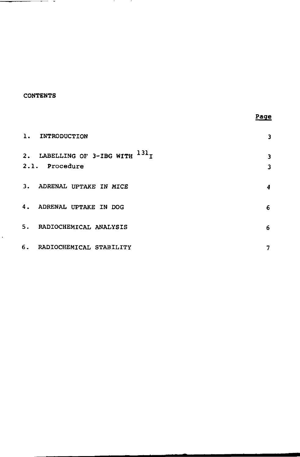## **CONTENTS**

 $\ddot{\phantom{0}}$ 

—∝ –

 $\mathcal{A}$ 

- 1

| 1. INTRODUCTION                                         | з      |
|---------------------------------------------------------|--------|
| 2. LABELLING OF 3-IBG WITH $^{131}$ I<br>2.1. Procedure | 3<br>3 |
| 3. ADRENAL UPTAKE IN MICE                               | 4      |
| 4. ADRENAL UPTAKE IN DOG                                | 6      |
| 5. RADIOCHEMICAL ANALYSIS                               | 6      |
| 6. RADIOCHEMICAL STABILITY                              | 7      |

**Page**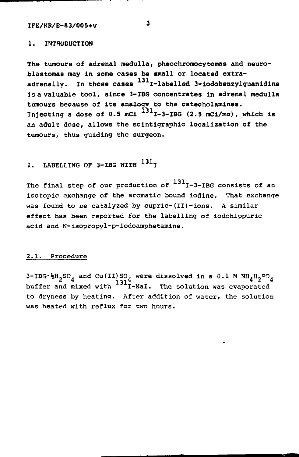# **IFE/KB/E-83/005+V 3**

## **1. INTRODUCTION**

The tumours of adrenal medulla, pheochromocytomas and neuro**blastomas may in some cases be small or located extra**adrenally. In those cases <sup>131</sup>I-labelled 3-iodobenzylquanidine **is a valuable tool, since 3-IBG concentrates in adrenal medulla tumours because of its analogy to the catecholamines.**  Injecting a **dose** of **0.5 mCi I-3-IBG (2.5 mCi/ma), which is an adult dose, allows the scintigraphic localization of the**  tumours, thus guiding the surgeon.

# 2. LABELLING OF 3-IBG WITH <sup>-31</sup>I

The final step of our production of <sup>131</sup>I-3-IBG consists of an isotopic exchange of the aromatic bound iodine. That exchange was found to be catalyzed by cupric- $(II)$ -ions. A similar effect has been reported for the labelling of iodohippuric acid and N-isopropyl-p-iodoamphetamine.

### 2.1. Procedure

 $3$ -IBG $\cdot$ }H<sub>2</sub>SO<sub>A</sub> and Cu(II)SO<sub>A</sub> were dissolved in a 0.1 M NH<sub>A</sub>H<sub>2</sub>PO<sub>A</sub>. buffer and mixed with <sup>-31</sup>I-NaI. The solution was evaporated to dryness by heating. After addition of water, the solution was heated with reflux for two hours.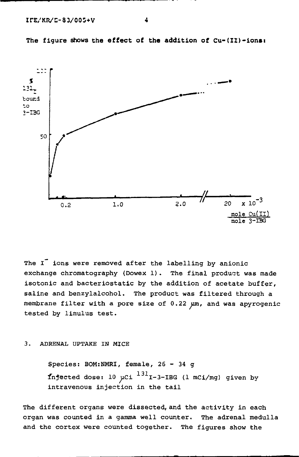

**The figure shows the effect of the addition of Cu-(ID-ions:** 

The I<sup>-</sup> ions were removed after the labelling by anionic exchange chromatography (Dowex 1). The final product was made isotonic and bacteriostatic by the addition of acetate buffer, saline and benzylalcohol. The product was filtered through a membrane filter with a pore size of 0.22 um, and was apyrogenic tested by limulus test.

### 3. ADRENAL UPTAKE IN MICE

Species: BOM:NMRI, female, 26 - 34 g **injected dose:** 10 µCi  $^{131}$  I-3-IBG (1 mCi/mg) given by intravenous injection in the tail

The different organs were dissected, and the activity in each organ was counted in a gamma well counter. The adrenal medulla and the cortex were counted together. The figures show the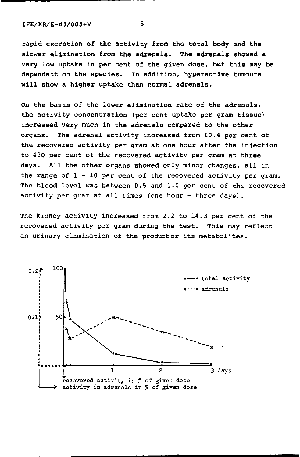**IFE/KR/E-d3/005+V** 5

rapid excretion of the **activity from the total body and the**  slower elimination from the **adrenals. The adrenals showed a**  very low uptake in per cent of **the** given **dose, but this** may **be**  dependent on the species. In addition, hyperactive tumours will show a higher uptake than normal adrenals.

On the basis of the lower elimination rate of the adrenals, the activity concentration (per cent uptake per gram tissue) increased very much in the adrenals compared to the other organs. The adrenal activity increased from 10.4 per cent of the recovered activity per gram at one hour after the injection to 430 per cent of the recovered activity per gram at three days. All the other organs showed only minor changes, all in the range of  $l - l0$  per cent of the recovered activity per gram. The blood level was between 0.5 and 1.0 per cent of the recovered activity per gram at all times (one hour - three days).

The kidney activity increased from 2.2 to 14.3 per cent of the recovered activity per gram during the test. This may reflect an urinary elimination of the productor its metabolites.

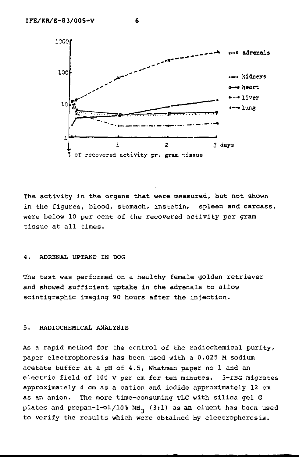



The activity in the organs that were measured, but not shown in the figures, blood, stomach, instetin, spleen and carcass, were below 10 per cent of the recovered activity per gram tissue at all times.

## 4. ADRENAL UPTAKE IN DOG

The test was performed on a healthy female golden retriever and showed sufficient uptake in the adrenals to allow scintigraphic imaging 90 hours after the injection.

#### 5. RADIOCHEMICAL ANALYSIS

As a rapid method for the control of the radiochemical purity, paper electrophoresis has been used with a 0.025 M sodium acetate buffer at a pH of 4.5, Whatman paper no 1 and an electric field of 100 V per cm for ten minutes. 3-IBG migrates approximately 4 cm as a cation and iodide approximately 12 cm as an anion. The more time-consuming TLC with silica gel G plates and propan-1-ol/10% NH<sub>3</sub> (3:1) as an eluent has been used to verify the results which were obtained by electrophoresis.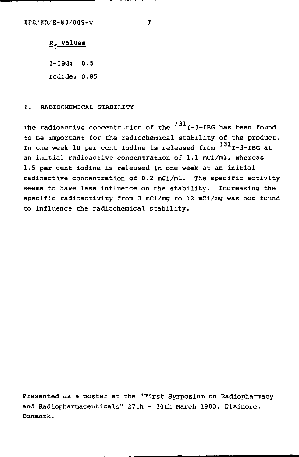## R. values

3-IBG: 0.5 Iodide: 0.85

## 6. RADIOCHEMICAL STABILITY

The radioactive concentration of the  $^{1.31}$ I-3-IBG has been found to be important for the radiochemical stability of the product. In one week 10 per cent iodine is released from  $^{131}$ I-3-IBG at an initial radioactive concentration of 1.1 mCi/ml, whereas 1.5 per cent iodine is released in one week at an initial radioactive concentration of 0.2 mCi/ml. The specific activity seems to have less influence on the stability. Increasing the specific radioactivity from 3 mCi/mg to 12 mCi/mg was not found to influence the radiochemical stability.

Presented as a poster at the "First Symposium on Radiopharmacy and Radiopharmaceuticals" 27th - 30th March 1983, Elsinore, Denmark.